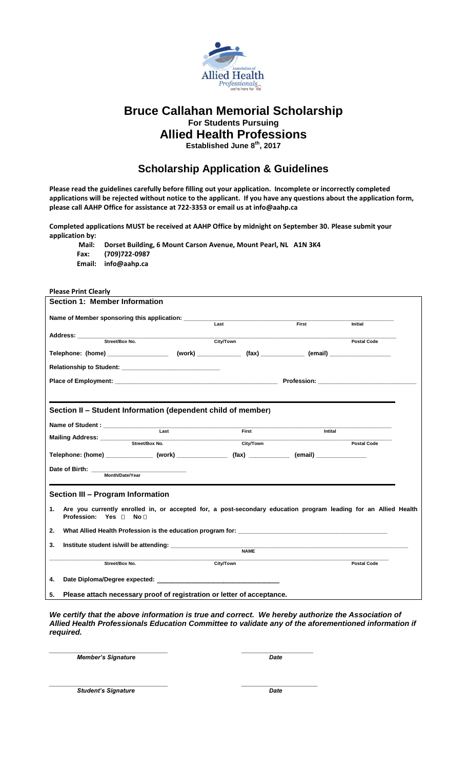

# **Bruce Callahan Memorial Scholarship For Students Pursuing Allied Health Professions**

**Established June 8 th, 2017**

## **Scholarship Application & Guidelines**

**Please read the guidelines carefully before filling out your application. Incomplete or incorrectly completed applications will be rejected without notice to the applicant. If you have any questions about the application form, please call AAHP Office for assistance at 722-3353 or email us at info@aahp.ca** 

**Completed applications MUST be received at AAHP Office by midnight on September 30. Please submit your application by:**

**Mail: Dorset Building, 6 Mount Carson Avenue, Mount Pearl, NL A1N 3K4 Fax: (709)722-0987 Email: info@aahp.ca**

| Section 1: Member Information                                                                                                                                                                                                       |             |         |                    |
|-------------------------------------------------------------------------------------------------------------------------------------------------------------------------------------------------------------------------------------|-------------|---------|--------------------|
|                                                                                                                                                                                                                                     |             |         |                    |
|                                                                                                                                                                                                                                     |             | First   |                    |
|                                                                                                                                                                                                                                     |             |         | Initial            |
| Address: <u>with Street/Box No.</u>                                                                                                                                                                                                 | City/Town   |         |                    |
|                                                                                                                                                                                                                                     |             |         | <b>Postal Code</b> |
|                                                                                                                                                                                                                                     |             |         |                    |
|                                                                                                                                                                                                                                     |             |         |                    |
|                                                                                                                                                                                                                                     |             |         |                    |
|                                                                                                                                                                                                                                     |             |         |                    |
|                                                                                                                                                                                                                                     |             |         |                    |
|                                                                                                                                                                                                                                     |             |         |                    |
| Section II - Student Information (dependent child of member)                                                                                                                                                                        |             |         |                    |
|                                                                                                                                                                                                                                     |             |         |                    |
|                                                                                                                                                                                                                                     | First       | Intital |                    |
|                                                                                                                                                                                                                                     | City/Town   |         | <b>Postal Code</b> |
| Telephone: (home) ________________(work) _______________________(fax) __________________(email) ______________                                                                                                                      |             |         |                    |
|                                                                                                                                                                                                                                     |             |         |                    |
| Date of Birth: ____________<br>Month/Date/Year                                                                                                                                                                                      |             |         |                    |
|                                                                                                                                                                                                                                     |             |         |                    |
|                                                                                                                                                                                                                                     |             |         |                    |
| Section III - Program Information                                                                                                                                                                                                   |             |         |                    |
| Are you currently enrolled in, or accepted for, a post-secondary education program leading for an Allied Health<br>1.                                                                                                               |             |         |                    |
| Profession: Yes Π No Π                                                                                                                                                                                                              |             |         |                    |
| What Allied Health Profession is the education program for: Network Controller and the control of the control of the control of the control of the control of the control of the control of the control of the control of the<br>2. |             |         |                    |
|                                                                                                                                                                                                                                     |             |         |                    |
| 3.                                                                                                                                                                                                                                  | <b>NAME</b> |         |                    |
|                                                                                                                                                                                                                                     |             |         |                    |
| Street/Box No.                                                                                                                                                                                                                      | City/Town   |         | <b>Postal Code</b> |
|                                                                                                                                                                                                                                     |             |         |                    |
| 4.                                                                                                                                                                                                                                  |             |         |                    |
| Please attach necessary proof of registration or letter of acceptance.<br>5.                                                                                                                                                        |             |         |                    |

*We certify that the above information is true and correct. We hereby authorize the Association of Allied Health Professionals Education Committee to validate any of the aforementioned information if required.*

*\_\_\_\_\_\_\_\_\_\_\_\_\_\_\_\_\_\_\_\_\_\_\_\_\_\_\_\_ \_\_\_\_\_\_\_\_\_\_\_\_\_\_\_\_\_ Member's Signature Date*

**Please Print Clearly**

*\_\_\_\_\_\_\_\_\_\_\_\_\_\_\_\_\_\_\_\_\_\_\_\_\_\_\_\_ \_\_\_\_\_\_\_\_\_\_\_\_\_\_\_\_\_\_ Student's Signature Date*